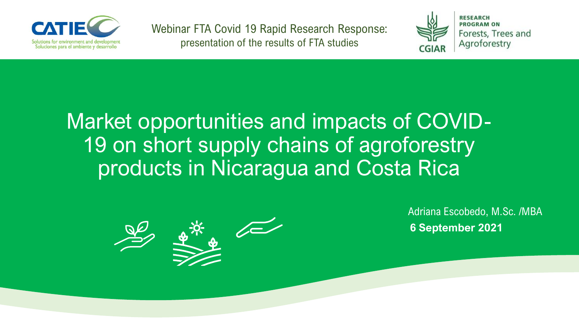

Webinar FTA Covid 19 Rapid Research Response: presentation of the results of FTA studies



### Market opportunities and impacts of COVID-19 on short supply chains of agroforestry products in Nicaragua and Costa Rica



Adriana Escobedo, M.Sc. /MBA **6 September 2021**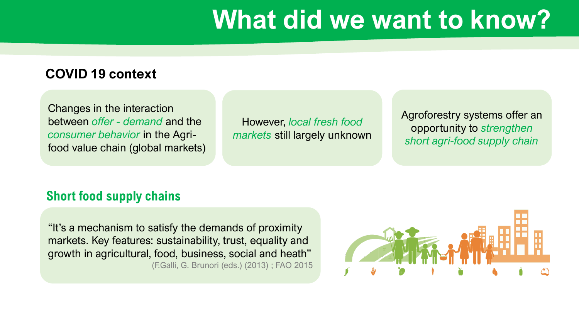### **What did we want to know?**

#### **COVID 19 context**

Changes in the interaction between *offer - demand* and the *consumer behavior* in the Agrifood value chain (global markets)

However, *local fresh food markets* still largely unknown Agroforestry systems offer an opportunity to *strengthen short agri-food supply chain*

#### **Short food supply chains**

"It's a mechanism to satisfy the demands of proximity markets. Key features: sustainability, trust, equality and growth in agricultural, food, business, social and heath" (F.Galli, G. Brunori (eds.) (2013) ; FAO 2015

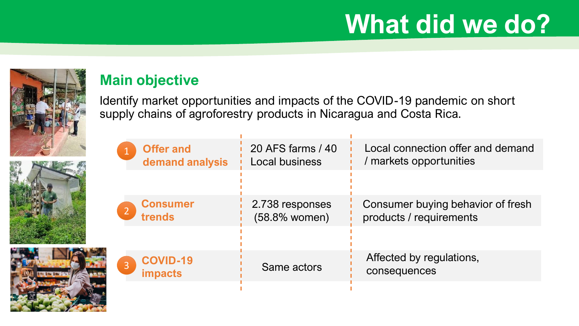# **What did we do?**



#### **Main objective**

Identify market opportunities and impacts of the COVID-19 pandemic on short supply chains of agroforestry products in Nicaragua and Costa Rica.

|                | <b>Offer and</b><br>demand analysis | 20 AFS farms / 40<br><b>Local business</b> | Local connection offer and demand<br>/ markets opportunities |
|----------------|-------------------------------------|--------------------------------------------|--------------------------------------------------------------|
|                |                                     |                                            |                                                              |
| 2 <sup>1</sup> | <b>Consumer</b><br>trends           | 2.738 responses<br>(58.8% women)           | Consumer buying behavior of fresh<br>products / requirements |
|                |                                     |                                            |                                                              |
| $\overline{3}$ | <b>COVID-19</b><br><b>impacts</b>   | Same actors                                | Affected by regulations,<br>consequences                     |
|                |                                     |                                            |                                                              |

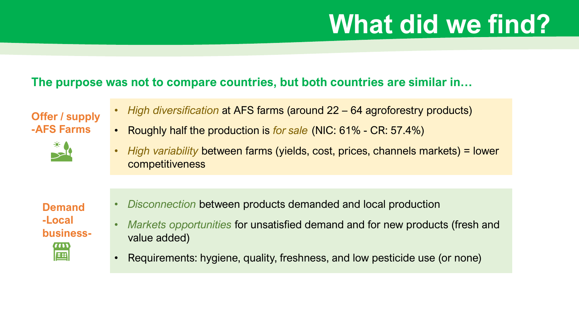# **What did we find?**

#### **The purpose was not to compare countries, but both countries are similar in…**

**Offer / supply -AFS Farms** 



- *High diversification* at AFS farms (around 22 64 agroforestry products)
- Roughly half the production is *for sale* (NIC: 61% CR: 57.4%)
- *High variability* between farms (yields, cost, prices, channels markets) = lower competitiveness

**Demand -Local business-** $(\overline{(\hspace{.03cm}\overline{(\hspace{.03cm}\overline{(\hspace{.03cm}\overline{(\hspace{.03cm}\overline{(\hspace{.03cm}\overline{(\hspace{.03cm}\overline{(\hspace{.03cm}\overline{(\hspace{.03cm}\overline{(\hspace{.03cm}\overline{(\hspace{.03cm}\overline{(\hspace{.03cm}\overline{(\hspace{.03cm}\overline{(\hspace{.03cm}\overline{(\hspace{.03cm}\overline{(\hspace{.03cm}\overline{(\hspace{.03cm}\overline{(\hspace{.03cm}\overline{(\hspace{.03cm}\overline{$ EI

- *Disconnection* between products demanded and local production
- *Markets opportunities* for unsatisfied demand and for new products (fresh and value added)
- Requirements: hygiene, quality, freshness, and low pesticide use (or none)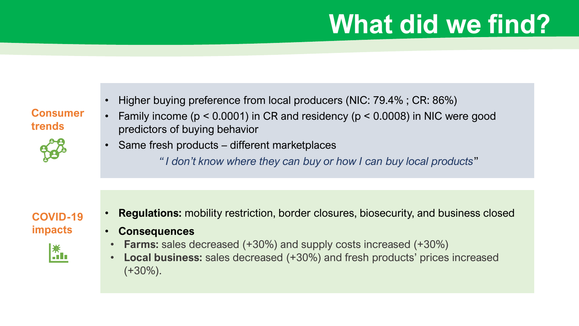# **What did we find?**

• Higher buying preference from local producers (NIC: 79.4%; CR: 86%)

**Consumer trends**



- Family income (p < 0.0001) in CR and residency (p < 0.0008) in NIC were good predictors of buying behavior
- Same fresh products different marketplaces
	- *" I don't know where they can buy or how I can buy local products*"

#### **COVID-19 impacts**



- **Regulations:** mobility restriction, border closures, biosecurity, and business closed
- **Consequences**
- **Farms:** sales decreased (+30%) and supply costs increased (+30%)
- **Local business:** sales decreased (+30%) and fresh products' prices increased  $(+30\%)$ .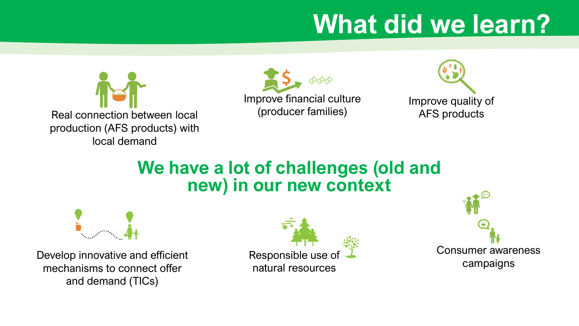# **What did we learn?**







### **We have a lot of challenges (old and new) in our new context**



Develop innovative and efficient mechanisms to connect offer and demand (TICs)